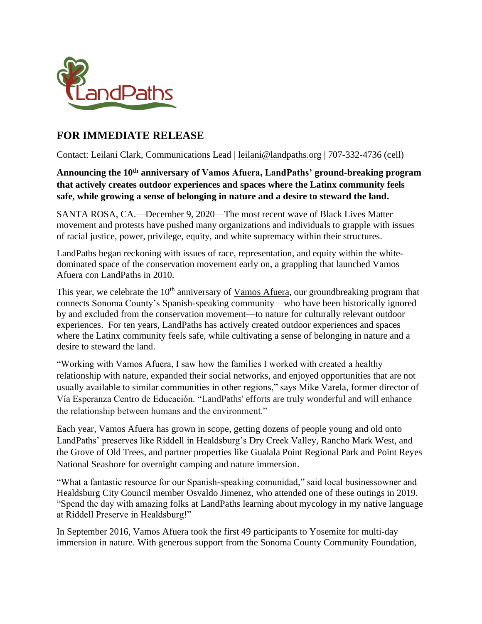

# **FOR IMMEDIATE RELEASE**

Contact: Leilani Clark, Communications Lead | [leilani@landpaths.org](mailto:leilani@landpaths.org) | 707-332-4736 (cell)

**Announcing the 10th anniversary of Vamos Afuera, LandPaths' ground-breaking program that actively creates outdoor experiences and spaces where the Latinx community feels safe, while growing a sense of belonging in nature and a desire to steward the land.** 

SANTA ROSA, CA.—December 9, 2020—The most recent wave of Black Lives Matter movement and protests have pushed many organizations and individuals to grapple with issues of racial justice, power, privilege, equity, and white supremacy within their structures.

LandPaths began reckoning with issues of race, representation, and equity within the whitedominated space of the conservation movement early on, a grappling that launched Vamos Afuera con LandPaths in 2010.

This year, we celebrate the  $10<sup>th</sup>$  anniversary of [Vamos Afuera,](https://www.landpaths.org/vamos-afuera/) our groundbreaking program that connects Sonoma County's Spanish-speaking community—who have been historically ignored by and excluded from the conservation movement—to nature for culturally relevant outdoor experiences. For ten years, LandPaths has actively created outdoor experiences and spaces where the Latinx community feels safe, while cultivating a sense of belonging in nature and a desire to steward the land.

"Working with Vamos Afuera, I saw how the families I worked with created a healthy relationship with nature, expanded their social networks, and enjoyed opportunities that are not usually available to similar communities in other regions," says Mike Varela, former director of Vía Esperanza Centro de Educación. "LandPaths' efforts are truly wonderful and will enhance the relationship between humans and the environment."

Each year, Vamos Afuera has grown in scope, getting dozens of people young and old onto LandPaths' preserves like Riddell in Healdsburg's Dry Creek Valley, Rancho Mark West, and the Grove of Old Trees, and partner properties like Gualala Point Regional Park and Point Reyes National Seashore for overnight camping and nature immersion.

"What a fantastic resource for our Spanish-speaking comunidad," said local businessowner and Healdsburg City Council member Osvaldo Jimenez, who attended one of these outings in 2019. "Spend the day with amazing folks at LandPaths learning about mycology in my native language at Riddell Preserve in Healdsburg!"

In September 2016, Vamos Afuera took the first 49 participants to Yosemite for multi-day immersion in nature. With generous support from the Sonoma County Community Foundation,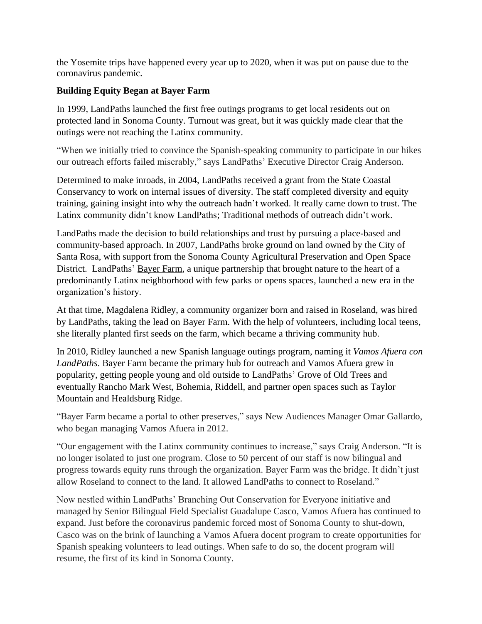the Yosemite trips have happened every year up to 2020, when it was put on pause due to the coronavirus pandemic.

# **Building Equity Began at Bayer Farm**

In 1999, LandPaths launched the first free outings programs to get local residents out on protected land in Sonoma County. Turnout was great, but it was quickly made clear that the outings were not reaching the Latinx community.

"When we initially tried to convince the Spanish-speaking community to participate in our hikes our outreach efforts failed miserably," says LandPaths' Executive Director Craig Anderson.

Determined to make inroads, in 2004, LandPaths received a grant from the State Coastal Conservancy to work on internal issues of diversity. The staff completed diversity and equity training, gaining insight into why the outreach hadn't worked. It really came down to trust. The Latinx community didn't know LandPaths; Traditional methods of outreach didn't work.

LandPaths made the decision to build relationships and trust by pursuing a place-based and community-based approach. In 2007, LandPaths broke ground on land owned by the City of Santa Rosa, with support from the Sonoma County Agricultural Preservation and Open Space District. LandPaths' [Bayer Farm,](https://www.landpaths.org/bayer-farm/) a unique partnership that brought nature to the heart of a predominantly Latinx neighborhood with few parks or opens spaces, launched a new era in the organization's history.

At that time, Magdalena Ridley, a community organizer born and raised in Roseland, was hired by LandPaths, taking the lead on Bayer Farm. With the help of volunteers, including local teens, she literally planted first seeds on the farm, which became a thriving community hub.

In 2010, Ridley launched a new Spanish language outings program, naming it *Vamos Afuera con LandPaths*. Bayer Farm became the primary hub for outreach and Vamos Afuera grew in popularity, getting people young and old outside to LandPaths' Grove of Old Trees and eventually Rancho Mark West, Bohemia, Riddell, and partner open spaces such as Taylor Mountain and Healdsburg Ridge.

"Bayer Farm became a portal to other preserves," says New Audiences Manager Omar Gallardo, who began managing Vamos Afuera in 2012.

"Our engagement with the Latinx community continues to increase," says Craig Anderson. "It is no longer isolated to just one program. Close to 50 percent of our staff is now bilingual and progress towards equity runs through the organization. Bayer Farm was the bridge. It didn't just allow Roseland to connect to the land. It allowed LandPaths to connect to Roseland."

Now nestled within LandPaths' Branching Out Conservation for Everyone initiative and managed by Senior Bilingual Field Specialist Guadalupe Casco, Vamos Afuera has continued to expand. Just before the coronavirus pandemic forced most of Sonoma County to shut-down, Casco was on the brink of launching a Vamos Afuera docent program to create opportunities for Spanish speaking volunteers to lead outings. When safe to do so, the docent program will resume, the first of its kind in Sonoma County.